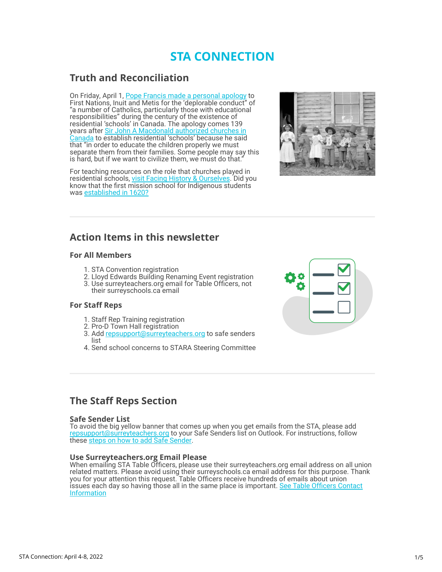# **STA CONNECTION**

# **Truth and Reconciliation**

On Friday, April 1, [Pope Francis made a personal apology](https://surreyteachers.us20.list-manage.com/track/click?u=37ec644ae87e34b54b3912660&id=f8a35fef5f&e=7261da6bdb) to First Nations, Inuit and Metis for the 'deplorable conduct" of "a number of Catholics, particularly those with educational responsibilities" during the century of the existence of residential 'schools' in Canada. The apology comes 139 years after Sir John A Macdonald authorized churches in [Canada to establish residential 'schools' because he said](https://surreyteachers.us20.list-manage.com/track/click?u=37ec644ae87e34b54b3912660&id=b9dafc1362&e=7261da6bdb) that "in order to educate the children properly we must separate them from their families. Some people may say this is hard, but if we want to civilize them, we must do that.

For teaching resources on the role that churches played in residential schools, [visit Facing History & Ourselves.](https://surreyteachers.us20.list-manage.com/track/click?u=37ec644ae87e34b54b3912660&id=4e934dbfbb&e=7261da6bdb) Did you know that the first mission school for Indigenous students was [established in 1620?](https://surreyteachers.us20.list-manage.com/track/click?u=37ec644ae87e34b54b3912660&id=3fd7e90612&e=7261da6bdb)



# **Action Items in this newsletter**

## **For All Members**

- 1. STA Convention registration
- 2. Lloyd Edwards Building Renaming Event registration
- 3. Use surreyteachers.org email for Table Officers, not their surreyschools.ca email

## **For Staff Reps**

- 1. Staff Rep Training registration
- 2. Pro-D Town Hall registration
- 3. Add [repsupport@surreyteachers.org](mailto:repsupport@surreyteachers.org) to safe senders list
- 4. Send school concerns to STARA Steering Committee



# **The Staff Reps Section**

#### **Safe Sender List**

To avoid the big yellow banner that comes up when you get emails from the STA, please add [repsupport@surreyteachers.org](mailto:repsupport@surreyteachers.org) to your Safe Senders list on Outlook. For instructions, follow these [steps on how to add Safe Sender.](https://surreyteachers.us20.list-manage.com/track/click?u=37ec644ae87e34b54b3912660&id=a097f8e6a0&e=7261da6bdb)

## **Use Surreyteachers.org Email Please**

When emailing STA Table Officers, please use their surreyteachers.org email address on all union related matters. Please avoid using their surreyschools.ca email address for this purpose. Thank you for your attention this request. Table Officers receive hundreds of emails about union [issues each day so having those all in the same place is important. See Table Officers Contact](https://surreyteachers.us20.list-manage.com/track/click?u=37ec644ae87e34b54b3912660&id=9d4307f767&e=7261da6bdb) **Information**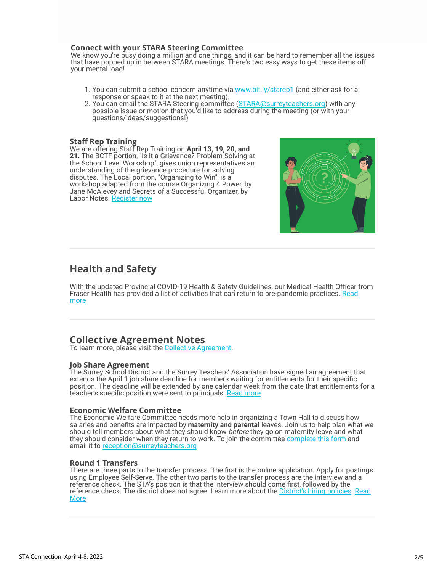#### **Connect with your STARA Steering Committee**

We know you're busy doing a million and one things, and it can be hard to remember all the issues that have popped up in between STARA meetings. There's two easy ways to get these items off your mental load!

- 1. You can submit a school concern anytime via www.bit.ly/starep1 (and either ask for a response or speak to it at the next meeting).
- 2. You can email the STARA Steering committee (STARA@surreyteachers.org) with any possible issue or motion that you'd like to address during the meeting (or with your questions/ideas/suggestions!)

#### **Staff Rep Training**

We are offering Staff Rep Training on **April 13, 19, 20, and 21.** The BCTF portion, "Is it a Grievance? Problem Solving at the School Level Workshop", gives union representatives an understanding of the grievance procedure for solving disputes. The Local portion, "Organizing to Win", is a workshop adapted from the course Organizing 4 Power, by Jane McAlevey and Secrets of a Successful Organizer, by Labor Notes. [Register now](https://surreyteachers.us20.list-manage.com/track/click?u=37ec644ae87e34b54b3912660&id=252d42b335&e=7261da6bdb)



# **Health and Safety**

With the updated Provincial COVID-19 Health & Safety Guidelines, our Medical Health Officer from [Fraser Health has provided a list of activities that can return to pre-pandemic practices. Read](https://surreyteachers.us20.list-manage.com/track/click?u=37ec644ae87e34b54b3912660&id=ef7e65ea62&e=7261da6bdb) more

## **Collective Agreement Notes**

To learn more, please visit the [Collective Agreement](https://surreyteachers.us20.list-manage.com/track/click?u=37ec644ae87e34b54b3912660&id=437232be14&e=7261da6bdb).

## **Job Share Agreement**

The Surrey School District and the Surrey Teachers' Association have signed an agreement that extends the April 1 job share deadline for members waiting for entitlements for their specific position. The deadline will be extended by one calendar week from the date that entitlements for a teacher's specific position were sent to principals. [Read more](https://surreyteachers.us20.list-manage.com/track/click?u=37ec644ae87e34b54b3912660&id=96bec89239&e=7261da6bdb)

#### **Economic Welfare Committee**

The Economic Welfare Committee needs more help in organizing a Town Hall to discuss how salaries and benefits are impacted by **maternity and parental** leaves. Join us to help plan what we should tell members about what they should know *before* they go on maternity leave and what they should consider when they return to work. To join the committee [complete this form](https://surreyteachers.us20.list-manage.com/track/click?u=37ec644ae87e34b54b3912660&id=b82ebafc45&e=7261da6bdb) and email it to [reception@surreyteachers.org](mailto:reception@surreyteachers.org)

#### **Round 1 Transfers**

There are three parts to the transfer process. The first is the online application. Apply for postings using Employee Self-Serve. The other two parts to the transfer process are the interview and a reference check. The STA's position is that the interview should come first, followed by the reference check. The district does not agree. Learn more about the [District's hiring policies.](https://surreyteachers.us20.list-manage.com/track/click?u=37ec644ae87e34b54b3912660&id=67ef218050&e=7261da6bdb) [Read](https://surreyteachers.us20.list-manage.com/track/click?u=37ec644ae87e34b54b3912660&id=5bb6075791&e=7261da6bdb) [More](https://surreyteachers.us20.list-manage.com/track/click?u=37ec644ae87e34b54b3912660&id=5bb6075791&e=7261da6bdb)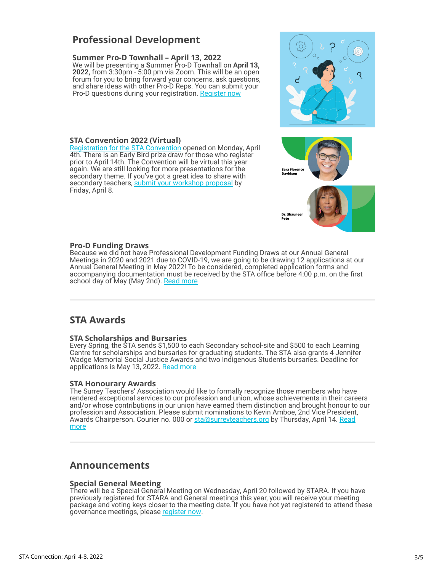# **Professional Development**

## **Summer Pro-D Townhall – April 13, 2022**

We will be presenting a **S**ummer Pro-D Townhall on **April 13, 2022,** from 3:30pm - 5:00 pm via Zoom. This will be an open forum for you to bring forward your concerns, ask questions, and share ideas with other Pro-D Reps. You can submit your Pro-D questions during your registration. [Register now](https://surreyteachers.us20.list-manage.com/track/click?u=37ec644ae87e34b54b3912660&id=b205e3b2f0&e=7261da6bdb)

## **STA Convention 2022 (Virtual)**

[Registration for the STA Convention](https://surreyteachers.us20.list-manage.com/track/click?u=37ec644ae87e34b54b3912660&id=a79b92f07d&e=7261da6bdb) opened on Monday, April 4th. There is an Early Bird prize draw for those who register prior to April 14th. The Convention will be virtual this year again. We are still looking for more presentations for the secondary theme. If you've got a great idea to share with secondary teachers, [submit your workshop proposal](https://surreyteachers.us20.list-manage.com/track/click?u=37ec644ae87e34b54b3912660&id=4ef0774a4e&e=7261da6bdb) by Friday, April 8.



## **Pro-D Funding Draws**

Because we did not have Professional Development Funding Draws at our Annual General Meetings in 2020 and 2021 due to COVID-19, we are going to be drawing 12 applications at our Annual General Meeting in May 2022! To be considered, completed application forms and accompanying documentation must be received by the STA office before 4:00 p.m. on the first school day of May (May 2nd). [Read more](https://surreyteachers.us20.list-manage.com/track/click?u=37ec644ae87e34b54b3912660&id=90215bacc8&e=7261da6bdb)

## **STA Awards**

#### **STA Scholarships and Bursaries**

Every Spring, the STA sends \$1,500 to each Secondary school-site and \$500 to each Learning Centre for scholarships and bursaries for graduating students. The STA also grants 4 Jennifer Wadge Memorial Social Justice Awards and two Indigenous Students bursaries. Deadline for applications is May 13, 2022. [Read more](https://surreyteachers.us20.list-manage.com/track/click?u=37ec644ae87e34b54b3912660&id=0a68447ae5&e=7261da6bdb)

#### **STA Honourary Awards**

The Surrey Teachers' Association would like to formally recognize those members who have rendered exceptional services to our profession and union, whose achievements in their careers and/or whose contributions in our union have earned them distinction and brought honour to our profession and Association. Please submit nominations to Kevin Amboe, 2nd Vice President, Awards Chairperson. Courier no. 000 or [sta@surreyteachers.org](mailto:sta@surreyteachers.org) by Thursday, April 14. [Read](https://surreyteachers.us20.list-manage.com/track/click?u=37ec644ae87e34b54b3912660&id=2d8af2dd10&e=7261da6bdb) [more](https://surreyteachers.us20.list-manage.com/track/click?u=37ec644ae87e34b54b3912660&id=2d8af2dd10&e=7261da6bdb)

## **Announcements**

#### **Special General Meeting**

There will be a Special General Meeting on Wednesday, April 20 followed by STARA. If you have previously registered for STARA and General meetings this year, you will receive your meeting package and voting keys closer to the meeting date. If you have not yet registered to attend these governance meetings, please [register now.](https://surreyteachers.us20.list-manage.com/track/click?u=37ec644ae87e34b54b3912660&id=c05cd35843&e=7261da6bdb)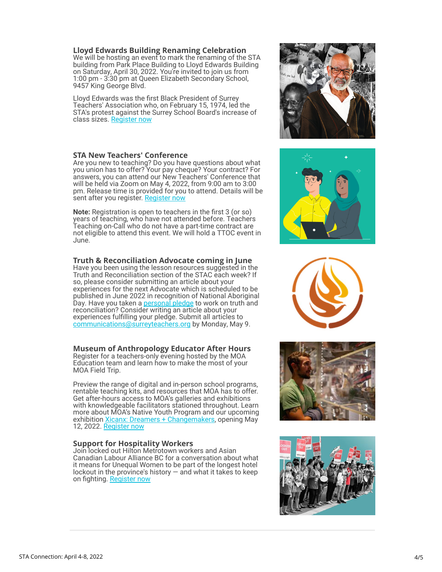**Lloyd Edwards Building Renaming Celebration**

We will be hosting an event to mark the renaming of the STA building from Park Place Building to Lloyd Edwards Building on Saturday, April 30, 2022. You're invited to join us from 1:00 pm - 3:30 pm at Queen Elizabeth Secondary School, 9457 King George Blvd.

Lloyd Edwards was the first Black President of Surrey Teachers' Association who, on February 15, 1974, led the STA's protest against the Surrey School Board's increase of class sizes. [Register now](https://lloydedwards2022.eventbrite.ca/)

#### **STA New Teachers' Conference**

Are you new to teaching? Do you have questions about what you union has to offer? Your pay cheque? Your contract? For answers, you can attend our New Teachers' Conference that will be held via Zoom on May 4, 2022, from 9:00 am to 3:00 pm. Release time is provided for you to attend. Details will be sent after you register. Register now

**Note:** Registration is open to teachers in the first 3 (or so) years of teaching, who have not attended before. Teachers Teaching on-Call who do not have a part-time contract are not eligible to attend this event. We will hold a TTOC event in June.

#### **Truth & Reconciliation Advocate coming in June**

Have you been using the lesson resources suggested in the Truth and Reconciliation section of the STAC each week? If so, please consider submitting an article about your experiences for the next Advocate which is scheduled to be published in June 2022 in recognition of National Aboriginal Day. Have you taken a [personal pledge](https://surreyteachers.us20.list-manage.com/track/click?u=37ec644ae87e34b54b3912660&id=262cd5df66&e=7261da6bdb) to work on truth and reconciliation? Consider writing an article about your experiences fulfilling your pledge. Submit all articles to [communications@surreyteachers.org](mailto:communications@surreyteachers.org) by Monday, May 9.

#### **Museum of Anthropology Educator After Hours**

Register for a teachers-only evening hosted by the MOA Education team and learn how to make the most of your MOA Field Trip.

Preview the range of digital and in-person school programs, rentable teaching kits, and resources that MOA has to offer. Get after-hours access to MOA's galleries and exhibitions with knowledgeable facilitators stationed throughout. Learn more about MOA's Native Youth Program and our upcoming exhibition **Xicanx: Dreamers + Changemakers**, opening May 12, 2022. [Register now](https://ubc.ca1.qualtrics.com/jfe/form/SV_8GoJg6GSBZPJcz4)

#### **Support for Hospitality Workers**

Join locked out Hilton Metrotown workers and Asian Canadian Labour Alliance BC for a conversation about what it means for Unequal Women to be part of the longest hotel lockout in the province's history  $-$  and what it takes to keep on fighting. [Register now](https://surreyteachers.us20.list-manage.com/track/click?u=37ec644ae87e34b54b3912660&id=e15b982c78&e=7261da6bdb)